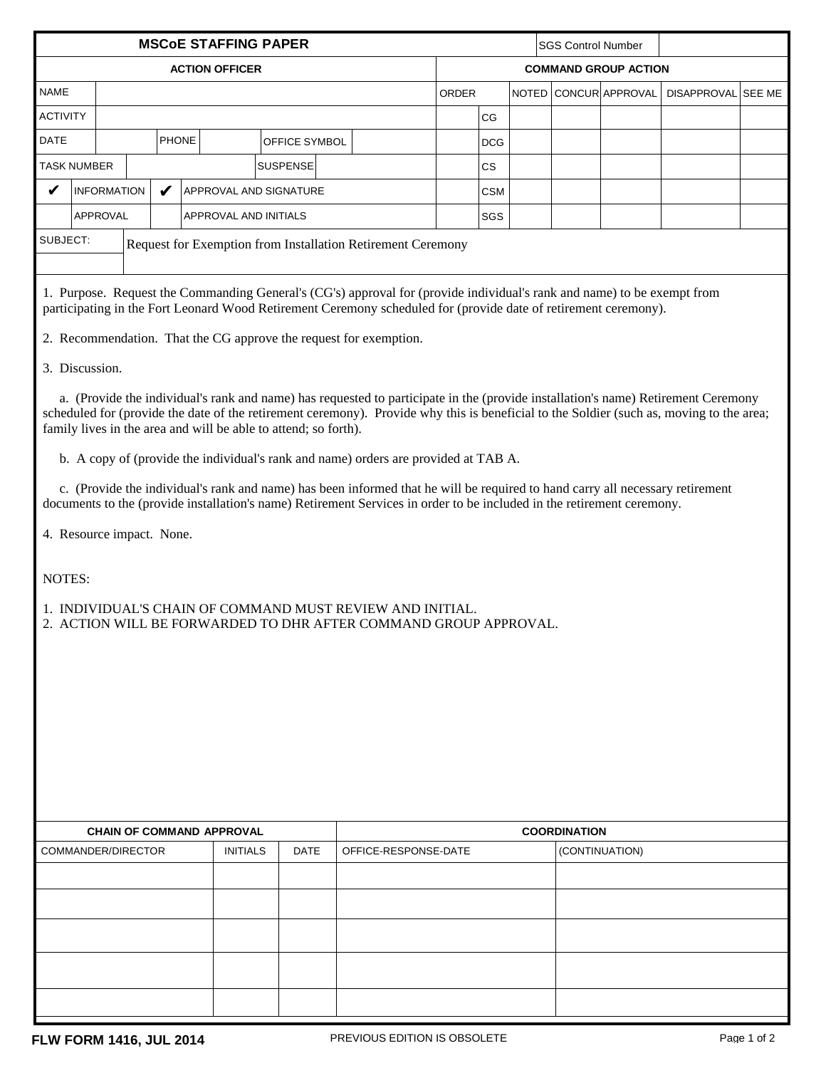| <b>MSCoE STAFFING PAPER</b>                                                                                                                                                                                                                                                                                                                      |                    |  |                       |                                  |                 |                      |                             | <b>SGS Control Number</b> |  |  |                       |                    |  |  |
|--------------------------------------------------------------------------------------------------------------------------------------------------------------------------------------------------------------------------------------------------------------------------------------------------------------------------------------------------|--------------------|--|-----------------------|----------------------------------|-----------------|----------------------|-----------------------------|---------------------------|--|--|-----------------------|--------------------|--|--|
| <b>ACTION OFFICER</b>                                                                                                                                                                                                                                                                                                                            |                    |  |                       |                                  |                 |                      | <b>COMMAND GROUP ACTION</b> |                           |  |  |                       |                    |  |  |
| <b>NAME</b>                                                                                                                                                                                                                                                                                                                                      |                    |  |                       |                                  |                 |                      | ORDER                       |                           |  |  | NOTED CONCUR APPROVAL | DISAPPROVAL SEE ME |  |  |
| <b>ACTIVITY</b>                                                                                                                                                                                                                                                                                                                                  |                    |  |                       |                                  |                 |                      |                             | CG                        |  |  |                       |                    |  |  |
| <b>DATE</b>                                                                                                                                                                                                                                                                                                                                      |                    |  | <b>PHONE</b>          |                                  | OFFICE SYMBOL   |                      |                             | <b>DCG</b>                |  |  |                       |                    |  |  |
|                                                                                                                                                                                                                                                                                                                                                  | <b>TASK NUMBER</b> |  |                       |                                  | <b>SUSPENSE</b> |                      |                             | $\mathsf{CS}\phantom{0}$  |  |  |                       |                    |  |  |
| V                                                                                                                                                                                                                                                                                                                                                | <b>INFORMATION</b> |  | V                     | APPROVAL AND SIGNATURE           |                 |                      |                             | <b>CSM</b>                |  |  |                       |                    |  |  |
|                                                                                                                                                                                                                                                                                                                                                  | APPROVAL           |  | APPROVAL AND INITIALS |                                  |                 |                      |                             | SGS                       |  |  |                       |                    |  |  |
| SUBJECT:<br>Request for Exemption from Installation Retirement Ceremony                                                                                                                                                                                                                                                                          |                    |  |                       |                                  |                 |                      |                             |                           |  |  |                       |                    |  |  |
|                                                                                                                                                                                                                                                                                                                                                  |                    |  |                       |                                  |                 |                      |                             |                           |  |  |                       |                    |  |  |
| 1. Purpose. Request the Commanding General's (CG's) approval for (provide individual's rank and name) to be exempt from<br>participating in the Fort Leonard Wood Retirement Ceremony scheduled for (provide date of retirement ceremony).                                                                                                       |                    |  |                       |                                  |                 |                      |                             |                           |  |  |                       |                    |  |  |
| 2. Recommendation. That the CG approve the request for exemption.                                                                                                                                                                                                                                                                                |                    |  |                       |                                  |                 |                      |                             |                           |  |  |                       |                    |  |  |
| 3. Discussion.                                                                                                                                                                                                                                                                                                                                   |                    |  |                       |                                  |                 |                      |                             |                           |  |  |                       |                    |  |  |
| a. (Provide the individual's rank and name) has requested to participate in the (provide installation's name) Retirement Ceremony<br>scheduled for (provide the date of the retirement ceremony). Provide why this is beneficial to the Soldier (such as, moving to the area;<br>family lives in the area and will be able to attend; so forth). |                    |  |                       |                                  |                 |                      |                             |                           |  |  |                       |                    |  |  |
| b. A copy of (provide the individual's rank and name) orders are provided at TAB A.                                                                                                                                                                                                                                                              |                    |  |                       |                                  |                 |                      |                             |                           |  |  |                       |                    |  |  |
| c. (Provide the individual's rank and name) has been informed that he will be required to hand carry all necessary retirement<br>documents to the (provide installation's name) Retirement Services in order to be included in the retirement ceremony.                                                                                          |                    |  |                       |                                  |                 |                      |                             |                           |  |  |                       |                    |  |  |
| 4. Resource impact. None.                                                                                                                                                                                                                                                                                                                        |                    |  |                       |                                  |                 |                      |                             |                           |  |  |                       |                    |  |  |
| NOTES:                                                                                                                                                                                                                                                                                                                                           |                    |  |                       |                                  |                 |                      |                             |                           |  |  |                       |                    |  |  |
| 1. INDIVIDUAL'S CHAIN OF COMMAND MUST REVIEW AND INITIAL.<br>2. ACTION WILL BE FORWARDED TO DHR AFTER COMMAND GROUP APPROVAL.                                                                                                                                                                                                                    |                    |  |                       |                                  |                 |                      |                             |                           |  |  |                       |                    |  |  |
|                                                                                                                                                                                                                                                                                                                                                  |                    |  |                       |                                  |                 |                      |                             |                           |  |  |                       |                    |  |  |
|                                                                                                                                                                                                                                                                                                                                                  |                    |  |                       |                                  |                 |                      |                             |                           |  |  |                       |                    |  |  |
|                                                                                                                                                                                                                                                                                                                                                  |                    |  |                       |                                  |                 |                      |                             |                           |  |  |                       |                    |  |  |
|                                                                                                                                                                                                                                                                                                                                                  |                    |  |                       |                                  |                 |                      |                             |                           |  |  |                       |                    |  |  |
|                                                                                                                                                                                                                                                                                                                                                  |                    |  |                       |                                  |                 |                      |                             |                           |  |  |                       |                    |  |  |
|                                                                                                                                                                                                                                                                                                                                                  |                    |  |                       |                                  |                 |                      |                             |                           |  |  |                       |                    |  |  |
|                                                                                                                                                                                                                                                                                                                                                  |                    |  |                       |                                  |                 |                      |                             |                           |  |  |                       |                    |  |  |
|                                                                                                                                                                                                                                                                                                                                                  |                    |  |                       | <b>CHAIN OF COMMAND APPROVAL</b> |                 | <b>COORDINATION</b>  |                             |                           |  |  |                       |                    |  |  |
|                                                                                                                                                                                                                                                                                                                                                  | COMMANDER/DIRECTOR |  |                       | <b>INITIALS</b>                  | <b>DATE</b>     | OFFICE-RESPONSE-DATE |                             |                           |  |  | (CONTINUATION)        |                    |  |  |
|                                                                                                                                                                                                                                                                                                                                                  |                    |  |                       |                                  |                 |                      |                             |                           |  |  |                       |                    |  |  |
|                                                                                                                                                                                                                                                                                                                                                  |                    |  |                       |                                  |                 |                      |                             |                           |  |  |                       |                    |  |  |
|                                                                                                                                                                                                                                                                                                                                                  |                    |  |                       |                                  |                 |                      |                             |                           |  |  |                       |                    |  |  |
|                                                                                                                                                                                                                                                                                                                                                  |                    |  |                       |                                  |                 |                      |                             |                           |  |  |                       |                    |  |  |
|                                                                                                                                                                                                                                                                                                                                                  |                    |  |                       |                                  |                 |                      |                             |                           |  |  |                       |                    |  |  |
|                                                                                                                                                                                                                                                                                                                                                  |                    |  |                       |                                  |                 |                      |                             |                           |  |  |                       |                    |  |  |